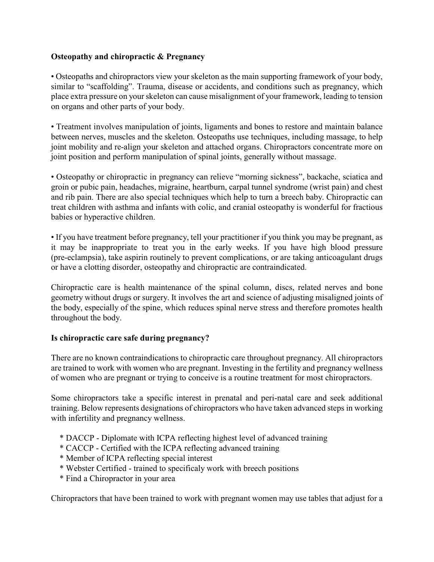## **Osteopathy and chiropractic & Pregnancy**

• Osteopaths and chiropractors view your skeleton as the main supporting framework of your body, similar to "scaffolding". Trauma, disease or accidents, and conditions such as pregnancy, which place extra pressure on your skeleton can cause misalignment of your framework, leading to tension on organs and other parts of your body.

• Treatment involves manipulation of joints, ligaments and bones to restore and maintain balance between nerves, muscles and the skeleton. Osteopaths use techniques, including massage, to help joint mobility and re-align your skeleton and attached organs. Chiropractors concentrate more on joint position and perform manipulation of spinal joints, generally without massage.

• Osteopathy or chiropractic in pregnancy can relieve "morning sickness", backache, sciatica and groin or pubic pain, headaches, migraine, heartburn, carpal tunnel syndrome (wrist pain) and chest and rib pain. There are also special techniques which help to turn a breech baby. Chiropractic can treat children with asthma and infants with colic, and cranial osteopathy is wonderful for fractious babies or hyperactive children.

• If you have treatment before pregnancy, tell your practitioner if you think you may be pregnant, as it may be inappropriate to treat you in the early weeks. If you have high blood pressure (pre-eclampsia), take aspirin routinely to prevent complications, or are taking anticoagulant drugs or have a clotting disorder, osteopathy and chiropractic are contraindicated.

Chiropractic care is health maintenance of the spinal column, discs, related nerves and bone geometry without drugs or surgery. It involves the art and science of adjusting misaligned joints of the body, especially of the spine, which reduces spinal nerve stress and therefore promotes health throughout the body.

# **Is chiropractic care safe during pregnancy?**

There are no known contraindications to chiropractic care throughout pregnancy. All chiropractors are trained to work with women who are pregnant. Investing in the fertility and pregnancy wellness of women who are pregnant or trying to conceive is a routine treatment for most chiropractors.

Some chiropractors take a specific interest in prenatal and peri-natal care and seek additional training. Below represents designations of chiropractors who have taken advanced steps in working with infertility and pregnancy wellness.

- \* DACCP Diplomate with ICPA reflecting highest level of advanced training
- \* CACCP Certified with the ICPA reflecting advanced training
- \* Member of ICPA reflecting special interest
- \* Webster Certified trained to specificaly work with breech positions
- \* Find a Chiropractor in your area

Chiropractors that have been trained to work with pregnant women may use tables that adjust for a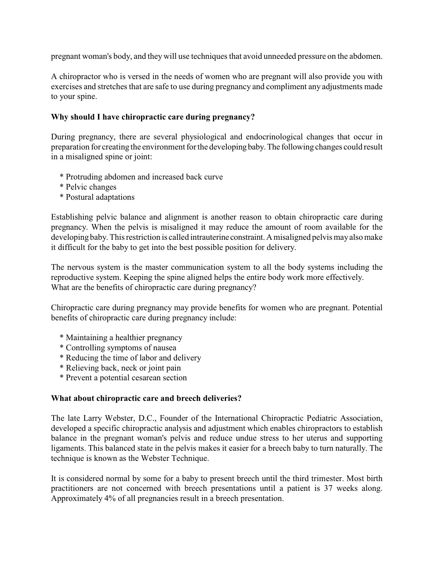pregnant woman's body, and they will use techniques that avoid unneeded pressure on the abdomen.

A chiropractor who is versed in the needs of women who are pregnant will also provide you with exercises and stretches that are safe to use during pregnancy and compliment any adjustments made to your spine.

## **Why should I have chiropractic care during pregnancy?**

During pregnancy, there are several physiological and endocrinological changes that occur in preparation for creating the environment for the developing baby. The following changes could result in a misaligned spine or joint:

- \* Protruding abdomen and increased back curve
- \* Pelvic changes
- \* Postural adaptations

Establishing pelvic balance and alignment is another reason to obtain chiropractic care during pregnancy. When the pelvis is misaligned it may reduce the amount of room available for the developing baby. This restriction is called intrauterine constraint. A misaligned pelvis may also make it difficult for the baby to get into the best possible position for delivery.

The nervous system is the master communication system to all the body systems including the reproductive system. Keeping the spine aligned helps the entire body work more effectively. What are the benefits of chiropractic care during pregnancy?

Chiropractic care during pregnancy may provide benefits for women who are pregnant. Potential benefits of chiropractic care during pregnancy include:

- \* Maintaining a healthier pregnancy
- \* Controlling symptoms of nausea
- \* Reducing the time of labor and delivery
- \* Relieving back, neck or joint pain
- \* Prevent a potential cesarean section

#### **What about chiropractic care and breech deliveries?**

The late Larry Webster, D.C., Founder of the International Chiropractic Pediatric Association, developed a specific chiropractic analysis and adjustment which enables chiropractors to establish balance in the pregnant woman's pelvis and reduce undue stress to her uterus and supporting ligaments. This balanced state in the pelvis makes it easier for a breech baby to turn naturally. The technique is known as the Webster Technique.

It is considered normal by some for a baby to present breech until the third trimester. Most birth practitioners are not concerned with breech presentations until a patient is 37 weeks along. Approximately 4% of all pregnancies result in a breech presentation.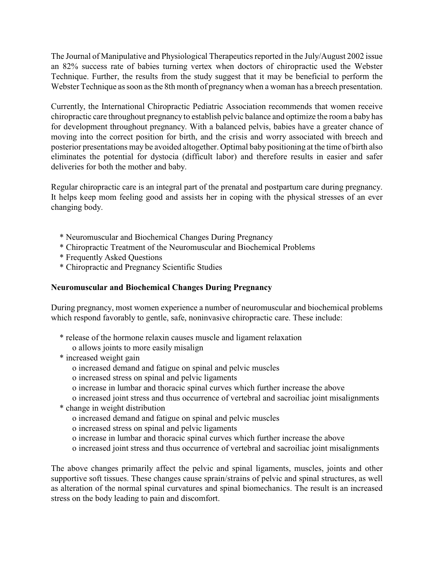The Journal of Manipulative and Physiological Therapeutics reported in the July/August 2002 issue an 82% success rate of babies turning vertex when doctors of chiropractic used the Webster Technique. Further, the results from the study suggest that it may be beneficial to perform the Webster Technique as soon as the 8th month of pregnancy when a woman has a breech presentation.

Currently, the International Chiropractic Pediatric Association recommends that women receive chiropractic care throughout pregnancy to establish pelvic balance and optimize the room a baby has for development throughout pregnancy. With a balanced pelvis, babies have a greater chance of moving into the correct position for birth, and the crisis and worry associated with breech and posterior presentations may be avoided altogether. Optimal baby positioning at the time of birth also eliminates the potential for dystocia (difficult labor) and therefore results in easier and safer deliveries for both the mother and baby.

Regular chiropractic care is an integral part of the prenatal and postpartum care during pregnancy. It helps keep mom feeling good and assists her in coping with the physical stresses of an ever changing body.

- \* Neuromuscular and Biochemical Changes During Pregnancy
- \* Chiropractic Treatment of the Neuromuscular and Biochemical Problems
- \* Frequently Asked Questions
- \* Chiropractic and Pregnancy Scientific Studies

#### **Neuromuscular and Biochemical Changes During Pregnancy**

During pregnancy, most women experience a number of neuromuscular and biochemical problems which respond favorably to gentle, safe, noninvasive chiropractic care. These include:

- \* release of the hormone relaxin causes muscle and ligament relaxation o allows joints to more easily misalign
- \* increased weight gain
	- o increased demand and fatigue on spinal and pelvic muscles
	- o increased stress on spinal and pelvic ligaments
	- o increase in lumbar and thoracic spinal curves which further increase the above
- o increased joint stress and thus occurrence of vertebral and sacroiliac joint misalignments
- \* change in weight distribution
	- o increased demand and fatigue on spinal and pelvic muscles
	- o increased stress on spinal and pelvic ligaments
	- o increase in lumbar and thoracic spinal curves which further increase the above
	- o increased joint stress and thus occurrence of vertebral and sacroiliac joint misalignments

The above changes primarily affect the pelvic and spinal ligaments, muscles, joints and other supportive soft tissues. These changes cause sprain/strains of pelvic and spinal structures, as well as alteration of the normal spinal curvatures and spinal biomechanics. The result is an increased stress on the body leading to pain and discomfort.